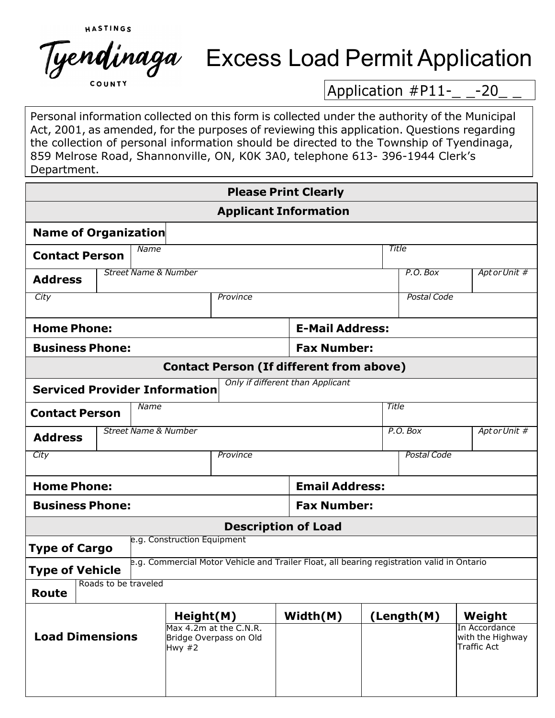HASTINGS Tyendinaga

## Excess Load Permit Application

Application  $#P11-$  -20

Personal information collected on this form is collected under the authority of the Municipal Act, 2001, as amended, for the purposes of reviewing this application. Questions regarding the collection of personal information should be directed to the Township of Tyendinaga, 859 Melrose Road, Shannonville, ON, K0K 3A0, telephone 613- 396-1944 Clerk's Department.

|                                                                          |                                              |  |                                                              |                                                                                            |                    | <b>Please Print Clearly</b> |          |                    |             |                                                         |  |
|--------------------------------------------------------------------------|----------------------------------------------|--|--------------------------------------------------------------|--------------------------------------------------------------------------------------------|--------------------|-----------------------------|----------|--------------------|-------------|---------------------------------------------------------|--|
|                                                                          |                                              |  |                                                              | <b>Applicant Information</b>                                                               |                    |                             |          |                    |             |                                                         |  |
|                                                                          | Name of Organization                         |  |                                                              |                                                                                            |                    |                             |          |                    |             |                                                         |  |
| Name<br><b>Contact Person</b>                                            |                                              |  |                                                              |                                                                                            |                    | Title                       |          |                    |             |                                                         |  |
| <b>Street Name &amp; Number</b><br><b>Address</b>                        |                                              |  |                                                              |                                                                                            |                    |                             | P.O. Box |                    | AptorUnit # |                                                         |  |
| City                                                                     |                                              |  |                                                              | Province                                                                                   |                    |                             |          | Postal Code        |             |                                                         |  |
|                                                                          | <b>Home Phone:</b><br><b>E-Mail Address:</b> |  |                                                              |                                                                                            |                    |                             |          |                    |             |                                                         |  |
| <b>Business Phone:</b>                                                   |                                              |  |                                                              |                                                                                            |                    | <b>Fax Number:</b>          |          |                    |             |                                                         |  |
| <b>Contact Person (If different from above)</b>                          |                                              |  |                                                              |                                                                                            |                    |                             |          |                    |             |                                                         |  |
| Only if different than Applicant<br><b>Serviced Provider Information</b> |                                              |  |                                                              |                                                                                            |                    |                             |          |                    |             |                                                         |  |
| Name                                                                     |                                              |  |                                                              |                                                                                            |                    | <b>Title</b>                |          |                    |             |                                                         |  |
| <b>Contact Person</b>                                                    |                                              |  |                                                              |                                                                                            |                    |                             |          |                    |             |                                                         |  |
| <b>Street Name &amp; Number</b><br><b>Address</b>                        |                                              |  |                                                              | P.O. Box                                                                                   |                    | AptorUnit #                 |          |                    |             |                                                         |  |
| City                                                                     |                                              |  |                                                              | Province                                                                                   |                    |                             |          | <b>Postal Code</b> |             |                                                         |  |
| <b>Home Phone:</b>                                                       |                                              |  |                                                              |                                                                                            |                    | <b>Email Address:</b>       |          |                    |             |                                                         |  |
| <b>Business Phone:</b>                                                   |                                              |  |                                                              |                                                                                            | <b>Fax Number:</b> |                             |          |                    |             |                                                         |  |
|                                                                          |                                              |  |                                                              | <b>Description of Load</b>                                                                 |                    |                             |          |                    |             |                                                         |  |
| <b>Type of Cargo</b>                                                     |                                              |  | e.g. Construction Equipment                                  |                                                                                            |                    |                             |          |                    |             |                                                         |  |
| <b>Type of Vehicle</b>                                                   |                                              |  |                                                              | e.g. Commercial Motor Vehicle and Trailer Float, all bearing registration valid in Ontario |                    |                             |          |                    |             |                                                         |  |
| Route                                                                    | Roads to be traveled                         |  |                                                              |                                                                                            |                    |                             |          |                    |             |                                                         |  |
|                                                                          |                                              |  | Height(M)                                                    |                                                                                            |                    | Width(M)                    |          | (Length(M)         |             | Weight                                                  |  |
| <b>Load Dimensions</b>                                                   |                                              |  | Max 4.2m at the C.N.R.<br>Bridge Overpass on Old<br>Hwy $#2$ |                                                                                            |                    |                             |          |                    |             | In Accordance<br>with the Highway<br><b>Traffic Act</b> |  |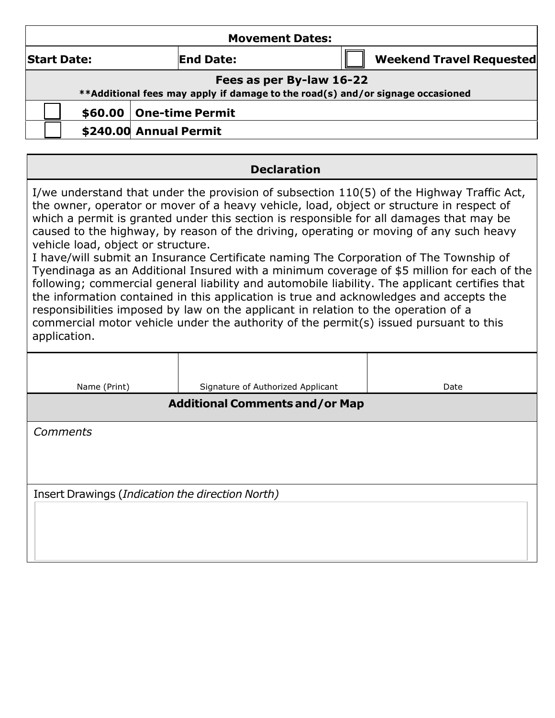| <b>Movement Dates:</b>                                                                                                                                                                                                                                                                                                                                                                                                                                                                                                                                                                                                                                                                                                                                                                                                                                                                                                                                                                             |                                   |                                 |  |  |  |  |  |  |  |
|----------------------------------------------------------------------------------------------------------------------------------------------------------------------------------------------------------------------------------------------------------------------------------------------------------------------------------------------------------------------------------------------------------------------------------------------------------------------------------------------------------------------------------------------------------------------------------------------------------------------------------------------------------------------------------------------------------------------------------------------------------------------------------------------------------------------------------------------------------------------------------------------------------------------------------------------------------------------------------------------------|-----------------------------------|---------------------------------|--|--|--|--|--|--|--|
| <b>Start Date:</b>                                                                                                                                                                                                                                                                                                                                                                                                                                                                                                                                                                                                                                                                                                                                                                                                                                                                                                                                                                                 | <b>End Date:</b>                  | <b>Weekend Travel Requested</b> |  |  |  |  |  |  |  |
| Fees as per By-law 16-22<br>**Additional fees may apply if damage to the road(s) and/or signage occasioned                                                                                                                                                                                                                                                                                                                                                                                                                                                                                                                                                                                                                                                                                                                                                                                                                                                                                         |                                   |                                 |  |  |  |  |  |  |  |
| <b>One-time Permit</b><br>\$60.00                                                                                                                                                                                                                                                                                                                                                                                                                                                                                                                                                                                                                                                                                                                                                                                                                                                                                                                                                                  |                                   |                                 |  |  |  |  |  |  |  |
| \$240.00 Annual Permit                                                                                                                                                                                                                                                                                                                                                                                                                                                                                                                                                                                                                                                                                                                                                                                                                                                                                                                                                                             |                                   |                                 |  |  |  |  |  |  |  |
|                                                                                                                                                                                                                                                                                                                                                                                                                                                                                                                                                                                                                                                                                                                                                                                                                                                                                                                                                                                                    |                                   |                                 |  |  |  |  |  |  |  |
| <b>Declaration</b>                                                                                                                                                                                                                                                                                                                                                                                                                                                                                                                                                                                                                                                                                                                                                                                                                                                                                                                                                                                 |                                   |                                 |  |  |  |  |  |  |  |
| I/we understand that under the provision of subsection 110(5) of the Highway Traffic Act,<br>the owner, operator or mover of a heavy vehicle, load, object or structure in respect of<br>which a permit is granted under this section is responsible for all damages that may be<br>caused to the highway, by reason of the driving, operating or moving of any such heavy<br>vehicle load, object or structure.<br>I have/will submit an Insurance Certificate naming The Corporation of The Township of<br>Tyendinaga as an Additional Insured with a minimum coverage of \$5 million for each of the<br>following; commercial general liability and automobile liability. The applicant certifies that<br>the information contained in this application is true and acknowledges and accepts the<br>responsibilities imposed by law on the applicant in relation to the operation of a<br>commercial motor vehicle under the authority of the permit(s) issued pursuant to this<br>application. |                                   |                                 |  |  |  |  |  |  |  |
| Name (Print)                                                                                                                                                                                                                                                                                                                                                                                                                                                                                                                                                                                                                                                                                                                                                                                                                                                                                                                                                                                       | Signature of Authorized Applicant | Date                            |  |  |  |  |  |  |  |
| <b>Additional Comments and/or Map</b>                                                                                                                                                                                                                                                                                                                                                                                                                                                                                                                                                                                                                                                                                                                                                                                                                                                                                                                                                              |                                   |                                 |  |  |  |  |  |  |  |

*Comments*

Insert Drawings (*Indication the direction North)*